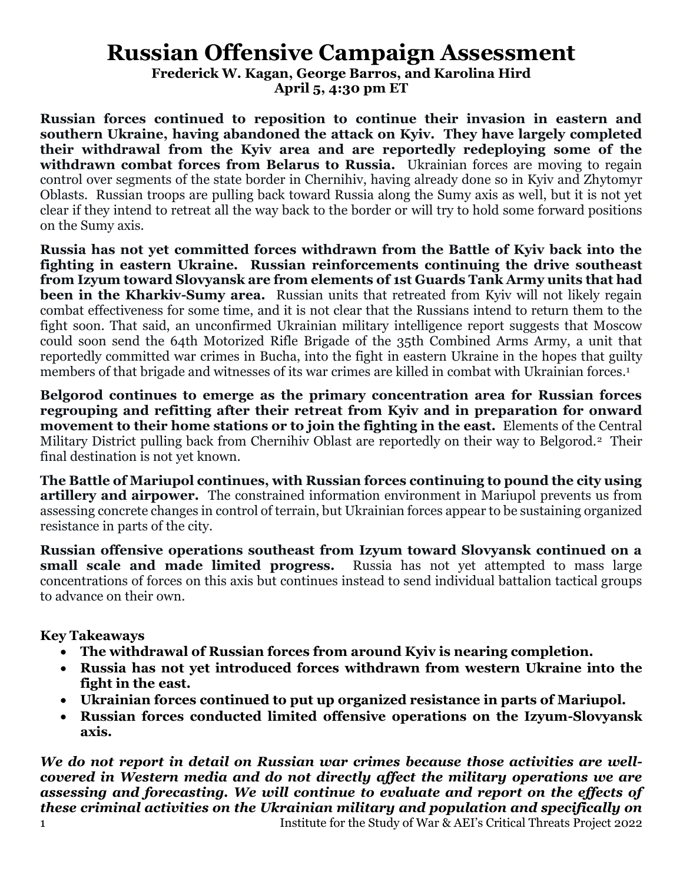# **Russian Offensive Campaign Assessment**

**Frederick W. Kagan, George Barros, and Karolina Hird**

**April 5, 4:30 pm ET**

**Russian forces continued to reposition to continue their invasion in eastern and southern Ukraine, having abandoned the attack on Kyiv. They have largely completed their withdrawal from the Kyiv area and are reportedly redeploying some of the**  withdrawn combat forces from Belarus to Russia. Ukrainian forces are moving to regain control over segments of the state border in Chernihiv, having already done so in Kyiv and Zhytomyr Oblasts. Russian troops are pulling back toward Russia along the Sumy axis as well, but it is not yet clear if they intend to retreat all the way back to the border or will try to hold some forward positions on the Sumy axis.

**Russia has not yet committed forces withdrawn from the Battle of Kyiv back into the fighting in eastern Ukraine. Russian reinforcements continuing the drive southeast from Izyum toward Slovyansk are from elements of 1st Guards Tank Army units that had been in the Kharkiv-Sumy area.** Russian units that retreated from Kyiv will not likely regain combat effectiveness for some time, and it is not clear that the Russians intend to return them to the fight soon. That said, an unconfirmed Ukrainian military intelligence report suggests that Moscow could soon send the 64th Motorized Rifle Brigade of the 35th Combined Arms Army, a unit that reportedly committed war crimes in Bucha, into the fight in eastern Ukraine in the hopes that guilty members of that brigade and witnesses of its war crimes are killed in combat with Ukrainian forces. 1

**Belgorod continues to emerge as the primary concentration area for Russian forces regrouping and refitting after their retreat from Kyiv and in preparation for onward movement to their home stations or to join the fighting in the east.** Elements of the Central Military District pulling back from Chernihiv Oblast are reportedly on their way to Belgorod.2 Their final destination is not yet known.

**The Battle of Mariupol continues, with Russian forces continuing to pound the city using artillery and airpower.** The constrained information environment in Mariupol prevents us from assessing concrete changes in control of terrain, but Ukrainian forces appear to be sustaining organized resistance in parts of the city.

**Russian offensive operations southeast from Izyum toward Slovyansk continued on a small scale and made limited progress.** Russia has not yet attempted to mass large small scale and made limited progress. concentrations of forces on this axis but continues instead to send individual battalion tactical groups to advance on their own.

**Key Takeaways**

- **The withdrawal of Russian forces from around Kyiv is nearing completion.**
- **Russia has not yet introduced forces withdrawn from western Ukraine into the fight in the east.**
- **Ukrainian forces continued to put up organized resistance in parts of Mariupol.**
- **Russian forces conducted limited offensive operations on the Izyum-Slovyansk axis.**

1 Institute for the Study of War & AEI's Critical Threats Project 2022 *We do not report in detail on Russian war crimes because those activities are wellcovered in Western media and do not directly affect the military operations we are assessing and forecasting. We will continue to evaluate and report on the effects of these criminal activities on the Ukrainian military and population and specifically on*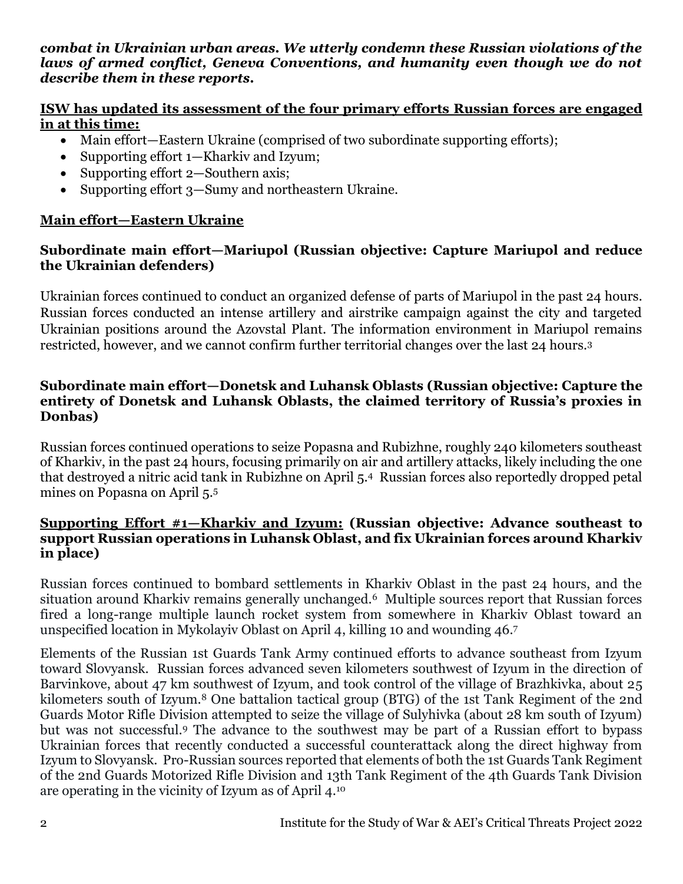#### *combat in Ukrainian urban areas. We utterly condemn these Russian violations of the laws of armed conflict, Geneva Conventions, and humanity even though we do not describe them in these reports.*

# **ISW has updated its assessment of the four primary efforts Russian forces are engaged in at this time:**

- Main effort—Eastern Ukraine (comprised of two subordinate supporting efforts);
- Supporting effort 1—Kharkiv and Izyum;
- Supporting effort 2—Southern axis;
- Supporting effort 3—Sumy and northeastern Ukraine.

# **Main effort—Eastern Ukraine**

## **Subordinate main effort—Mariupol (Russian objective: Capture Mariupol and reduce the Ukrainian defenders)**

Ukrainian forces continued to conduct an organized defense of parts of Mariupol in the past 24 hours. Russian forces conducted an intense artillery and airstrike campaign against the city and targeted Ukrainian positions around the Azovstal Plant. The information environment in Mariupol remains restricted, however, and we cannot confirm further territorial changes over the last 24 hours.<sup>3</sup>

### **Subordinate main effort—Donetsk and Luhansk Oblasts (Russian objective: Capture the entirety of Donetsk and Luhansk Oblasts, the claimed territory of Russia's proxies in Donbas)**

Russian forces continued operations to seize Popasna and Rubizhne, roughly 240 kilometers southeast of Kharkiv, in the past 24 hours, focusing primarily on air and artillery attacks, likely including the one that destroyed a nitric acid tank in Rubizhne on April 5.4 Russian forces also reportedly dropped petal mines on Popasna on April 5.<sup>5</sup>

## **Supporting Effort #1—Kharkiv and Izyum: (Russian objective: Advance southeast to support Russian operations in Luhansk Oblast, and fix Ukrainian forces around Kharkiv in place)**

Russian forces continued to bombard settlements in Kharkiv Oblast in the past 24 hours, and the situation around Kharkiv remains generally unchanged.6 Multiple sources report that Russian forces fired a long-range multiple launch rocket system from somewhere in Kharkiv Oblast toward an unspecified location in Mykolayiv Oblast on April 4, killing 10 and wounding 46.<sup>7</sup>

Elements of the Russian 1st Guards Tank Army continued efforts to advance southeast from Izyum toward Slovyansk. Russian forces advanced seven kilometers southwest of Izyum in the direction of Barvinkove, about 47 km southwest of Izyum, and took control of the village of Brazhkivka, about 25 kilometers south of Izyum.<sup>8</sup> One battalion tactical group (BTG) of the 1st Tank Regiment of the 2nd Guards Motor Rifle Division attempted to seize the village of Sulyhivka (about 28 km south of Izyum) but was not successful.<sup>9</sup> The advance to the southwest may be part of a Russian effort to bypass Ukrainian forces that recently conducted a successful counterattack along the direct highway from Izyum to Slovyansk. Pro-Russian sources reported that elements of both the 1st Guards Tank Regiment of the 2nd Guards Motorized Rifle Division and 13th Tank Regiment of the 4th Guards Tank Division are operating in the vicinity of Izyum as of April 4.10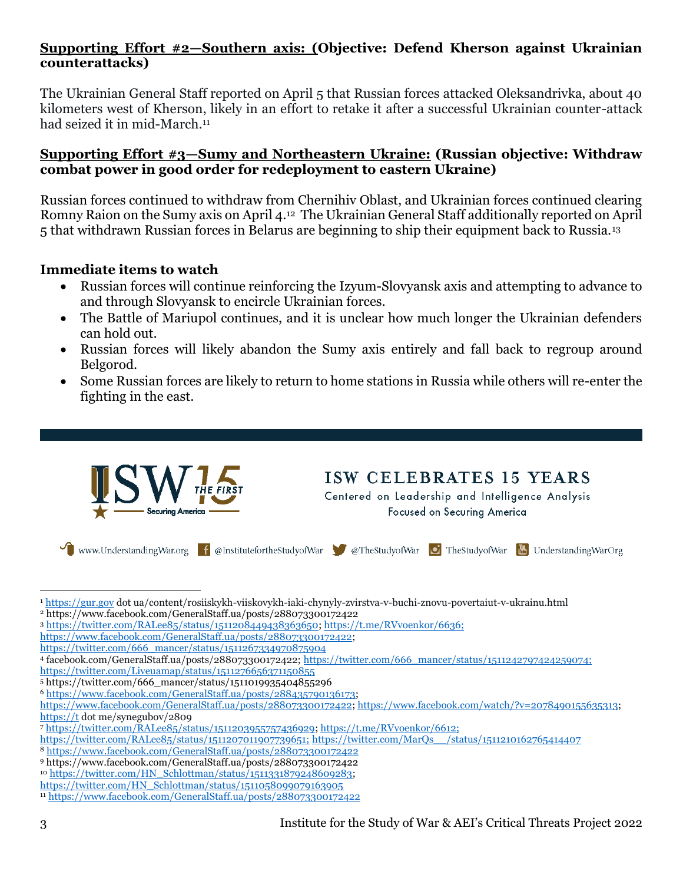## **Supporting Effort #2—Southern axis: (Objective: Defend Kherson against Ukrainian counterattacks)**

The Ukrainian General Staff reported on April 5 that Russian forces attacked Oleksandrivka, about 40 kilometers west of Kherson, likely in an effort to retake it after a successful Ukrainian counter-attack had seized it in mid-March.<sup>11</sup>

#### **Supporting Effort #3—Sumy and Northeastern Ukraine: (Russian objective: Withdraw combat power in good order for redeployment to eastern Ukraine)**

Russian forces continued to withdraw from Chernihiv Oblast, and Ukrainian forces continued clearing Romny Raion on the Sumy axis on April 4.12 The Ukrainian General Staff additionally reported on April 5 that withdrawn Russian forces in Belarus are beginning to ship their equipment back to Russia.<sup>13</sup>

### **Immediate items to watch**

- Russian forces will continue reinforcing the Izyum-Slovyansk axis and attempting to advance to and through Slovyansk to encircle Ukrainian forces.
- The Battle of Mariupol continues, and it is unclear how much longer the Ukrainian defenders can hold out.
- Russian forces will likely abandon the Sumy axis entirely and fall back to regroup around Belgorod.
- Some Russian forces are likely to return to home stations in Russia while others will re-enter the fighting in the east.